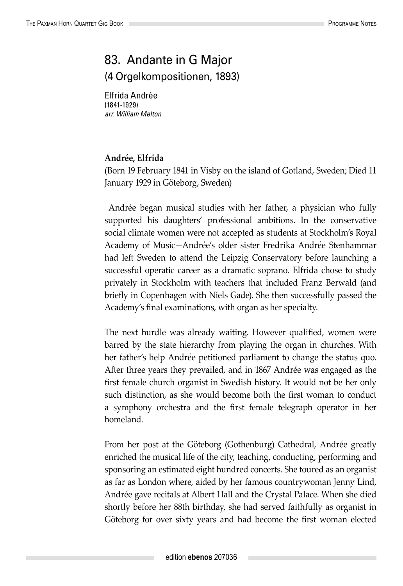## 83. Andante in G Major (4 Orgelkompositionen, 1893)

Elfrida Andrée (1841-1929) *arr. William Melton*

## **Andrée, Elfrida**

(Born 19 February 1841 in Visby on the island of Gotland, Sweden; Died 11 January 1929 in Göteborg, Sweden)

 Andrée began musical studies with her father, a physician who fully supported his daughters' professional ambitions. In the conservative social climate women were not accepted as students at Stockholm's Royal Academy of Music—Andrée's older sister Fredrika Andrée Stenhammar had left Sweden to attend the Leipzig Conservatory before launching a successful operatic career as a dramatic soprano. Elfrida chose to study privately in Stockholm with teachers that included Franz Berwald (and briefly in Copenhagen with Niels Gade). She then successfully passed the Academy's final examinations, with organ as her specialty.

The next hurdle was already waiting. However qualified, women were barred by the state hierarchy from playing the organ in churches. With her father's help Andrée petitioned parliament to change the status quo. After three years they prevailed, and in 1867 Andrée was engaged as the first female church organist in Swedish history. It would not be her only such distinction, as she would become both the first woman to conduct a symphony orchestra and the first female telegraph operator in her homeland.

From her post at the Göteborg (Gothenburg) Cathedral, Andrée greatly enriched the musical life of the city, teaching, conducting, performing and sponsoring an estimated eight hundred concerts. She toured as an organist as far as London where, aided by her famous countrywoman Jenny Lind, Andrée gave recitals at Albert Hall and the Crystal Palace. When she died shortly before her 88th birthday, she had served faithfully as organist in Göteborg for over sixty years and had become the first woman elected